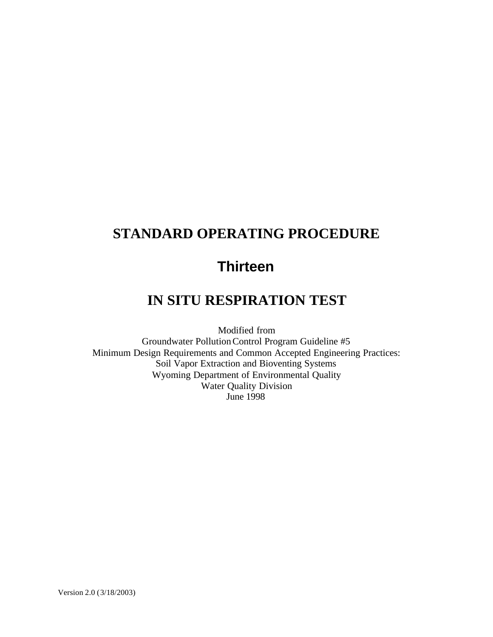# **STANDARD OPERATING PROCEDURE**

# **Thirteen**

## **IN SITU RESPIRATION TEST**

Modified from Groundwater Pollution Control Program Guideline #5 Minimum Design Requirements and Common Accepted Engineering Practices: Soil Vapor Extraction and Bioventing Systems Wyoming Department of Environmental Quality Water Quality Division June 1998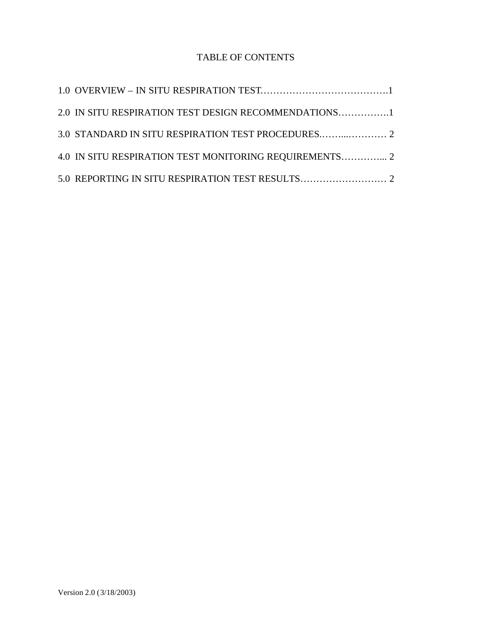### TABLE OF CONTENTS

| 2.0 IN SITU RESPIRATION TEST DESIGN RECOMMENDATIONS1   |  |
|--------------------------------------------------------|--|
|                                                        |  |
| 4.0 IN SITU RESPIRATION TEST MONITORING REQUIREMENTS 2 |  |
|                                                        |  |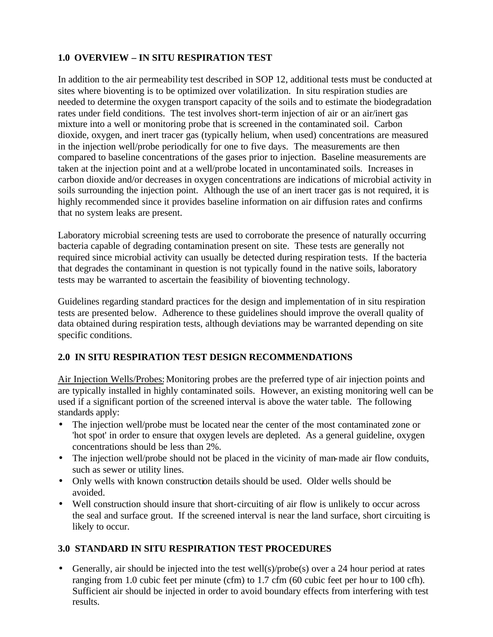#### **1.0 OVERVIEW – IN SITU RESPIRATION TEST**

In addition to the air permeability test described in SOP 12, additional tests must be conducted at sites where bioventing is to be optimized over volatilization. In situ respiration studies are needed to determine the oxygen transport capacity of the soils and to estimate the biodegradation rates under field conditions. The test involves short-term injection of air or an air/inert gas mixture into a well or monitoring probe that is screened in the contaminated soil. Carbon dioxide, oxygen, and inert tracer gas (typically helium, when used) concentrations are measured in the injection well/probe periodically for one to five days. The measurements are then compared to baseline concentrations of the gases prior to injection. Baseline measurements are taken at the injection point and at a well/probe located in uncontaminated soils. Increases in carbon dioxide and/or decreases in oxygen concentrations are indications of microbial activity in soils surrounding the injection point. Although the use of an inert tracer gas is not required, it is highly recommended since it provides baseline information on air diffusion rates and confirms that no system leaks are present.

Laboratory microbial screening tests are used to corroborate the presence of naturally occurring bacteria capable of degrading contamination present on site. These tests are generally not required since microbial activity can usually be detected during respiration tests. If the bacteria that degrades the contaminant in question is not typically found in the native soils, laboratory tests may be warranted to ascertain the feasibility of bioventing technology.

Guidelines regarding standard practices for the design and implementation of in situ respiration tests are presented below. Adherence to these guidelines should improve the overall quality of data obtained during respiration tests, although deviations may be warranted depending on site specific conditions.

#### **2.0 IN SITU RESPIRATION TEST DESIGN RECOMMENDATIONS**

Air Injection Wells/Probes: Monitoring probes are the preferred type of air injection points and are typically installed in highly contaminated soils. However, an existing monitoring well can be used if a significant portion of the screened interval is above the water table. The following standards apply:

- The injection well/probe must be located near the center of the most contaminated zone or 'hot spot' in order to ensure that oxygen levels are depleted. As a general guideline, oxygen concentrations should be less than 2%.
- The injection well/probe should not be placed in the vicinity of man-made air flow conduits, such as sewer or utility lines.
- Only wells with known construction details should be used. Older wells should be avoided.
- Well construction should insure that short-circuiting of air flow is unlikely to occur across the seal and surface grout. If the screened interval is near the land surface, short circuiting is likely to occur.

#### **3.0 STANDARD IN SITU RESPIRATION TEST PROCEDURES**

• Generally, air should be injected into the test well(s)/probe(s) over a 24 hour period at rates ranging from 1.0 cubic feet per minute (cfm) to 1.7 cfm (60 cubic feet per hour to 100 cfh). Sufficient air should be injected in order to avoid boundary effects from interfering with test results.